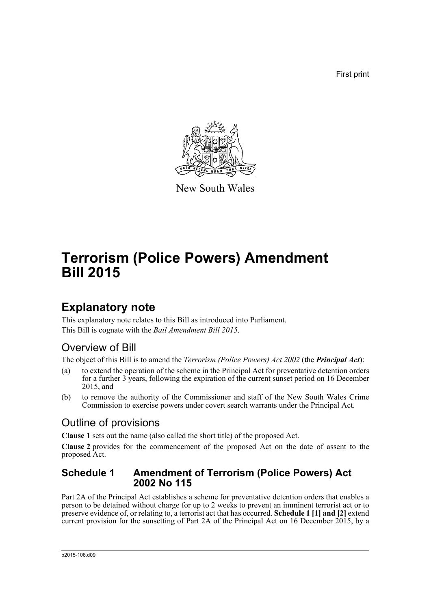First print



New South Wales

# **Terrorism (Police Powers) Amendment Bill 2015**

### **Explanatory note**

This explanatory note relates to this Bill as introduced into Parliament. This Bill is cognate with the *Bail Amendment Bill 2015*.

### Overview of Bill

The object of this Bill is to amend the *Terrorism (Police Powers) Act 2002* (the *Principal Act*):

- (a) to extend the operation of the scheme in the Principal Act for preventative detention orders for a further 3 years, following the expiration of the current sunset period on 16 December 2015, and
- (b) to remove the authority of the Commissioner and staff of the New South Wales Crime Commission to exercise powers under covert search warrants under the Principal Act.

### Outline of provisions

**Clause 1** sets out the name (also called the short title) of the proposed Act.

**Clause 2** provides for the commencement of the proposed Act on the date of assent to the proposed Act.

#### **Schedule 1 Amendment of Terrorism (Police Powers) Act 2002 No 115**

Part 2A of the Principal Act establishes a scheme for preventative detention orders that enables a person to be detained without charge for up to 2 weeks to prevent an imminent terrorist act or to preserve evidence of, or relating to, a terrorist act that has occurred. **Schedule 1 [1] and [2]** extend current provision for the sunsetting of Part 2A of the Principal Act on 16 December 2015, by a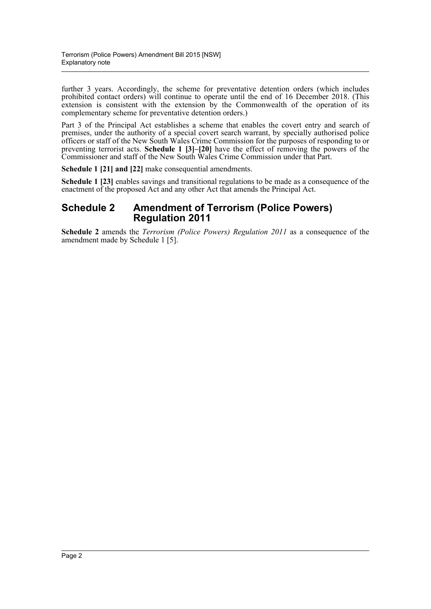further 3 years. Accordingly, the scheme for preventative detention orders (which includes prohibited contact orders) will continue to operate until the end of 16 December 2018. (This extension is consistent with the extension by the Commonwealth of the operation of its complementary scheme for preventative detention orders.)

Part 3 of the Principal Act establishes a scheme that enables the covert entry and search of premises, under the authority of a special covert search warrant, by specially authorised police officers or staff of the New South Wales Crime Commission for the purposes of responding to or preventing terrorist acts. **Schedule 1 [3]–[20]** have the effect of removing the powers of the Commissioner and staff of the New South Wales Crime Commission under that Part.

**Schedule 1 [21] and [22]** make consequential amendments.

**Schedule 1 [23]** enables savings and transitional regulations to be made as a consequence of the enactment of the proposed Act and any other Act that amends the Principal Act.

#### **Schedule 2 Amendment of Terrorism (Police Powers) Regulation 2011**

**Schedule 2** amends the *Terrorism (Police Powers) Regulation 2011* as a consequence of the amendment made by Schedule 1 [5].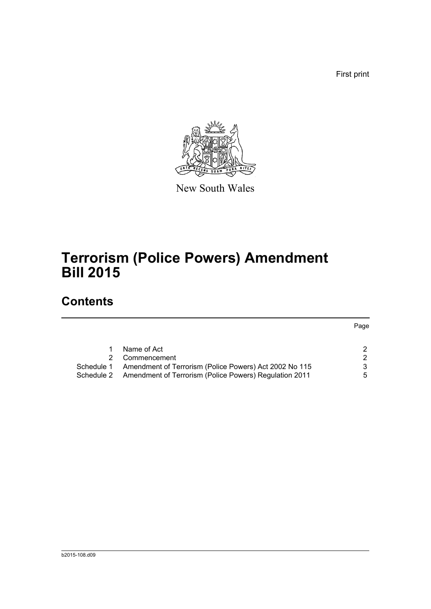First print



New South Wales

# **Terrorism (Police Powers) Amendment Bill 2015**

## **Contents**

Page

|            | Name of Act                                            |    |
|------------|--------------------------------------------------------|----|
|            | 2 Commencement                                         |    |
| Schedule 1 | Amendment of Terrorism (Police Powers) Act 2002 No 115 | 3  |
| Schedule 2 | Amendment of Terrorism (Police Powers) Regulation 2011 | 5. |
|            |                                                        |    |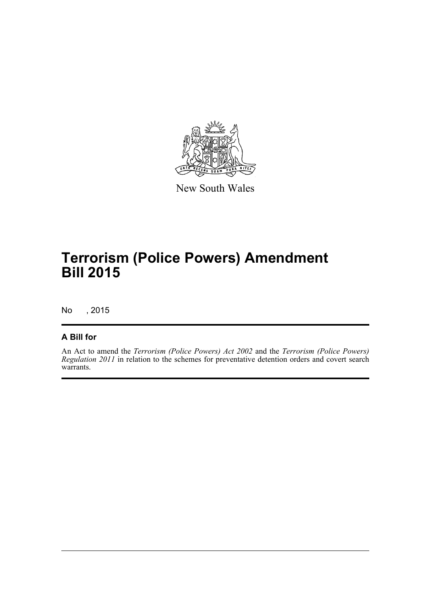

New South Wales

# **Terrorism (Police Powers) Amendment Bill 2015**

No , 2015

#### **A Bill for**

An Act to amend the *Terrorism (Police Powers) Act 2002* and the *Terrorism (Police Powers) Regulation 2011* in relation to the schemes for preventative detention orders and covert search warrants.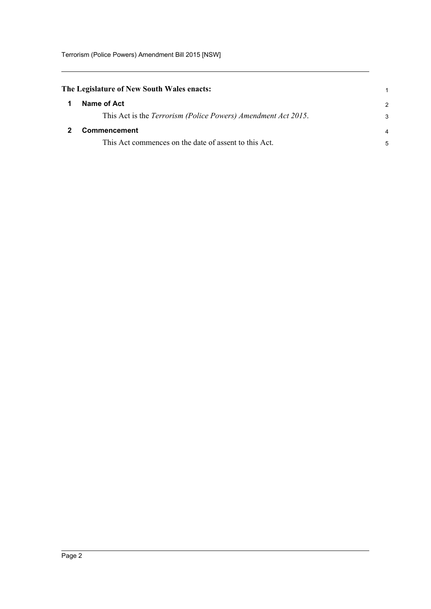<span id="page-4-1"></span><span id="page-4-0"></span>

| The Legislature of New South Wales enacts: |                                                               |                |
|--------------------------------------------|---------------------------------------------------------------|----------------|
| 1                                          | Name of Act                                                   | $\overline{2}$ |
|                                            | This Act is the Terrorism (Police Powers) Amendment Act 2015. | 3              |
|                                            | Commencement                                                  | 4              |
|                                            | This Act commences on the date of assent to this Act.         | 5              |
|                                            |                                                               |                |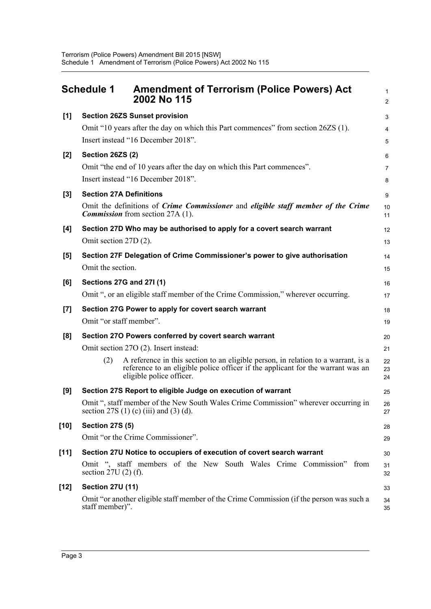<span id="page-5-0"></span>

|                    | <b>Schedule 1</b>       | <b>Amendment of Terrorism (Police Powers) Act</b><br><b>2002 No 115</b>                                                                                                                          | $\mathbf{1}$<br>$\overline{2}$ |
|--------------------|-------------------------|--------------------------------------------------------------------------------------------------------------------------------------------------------------------------------------------------|--------------------------------|
| [1]                |                         | <b>Section 26ZS Sunset provision</b>                                                                                                                                                             | 3                              |
|                    |                         | Omit "10 years after the day on which this Part commences" from section 26ZS (1).                                                                                                                | 4                              |
|                    |                         | Insert instead "16 December 2018".                                                                                                                                                               | 5                              |
| [2]                | Section 26ZS (2)        |                                                                                                                                                                                                  | 6                              |
|                    |                         | Omit "the end of 10 years after the day on which this Part commences".                                                                                                                           | $\overline{7}$                 |
|                    |                         | Insert instead "16 December 2018".                                                                                                                                                               | 8                              |
| [3]                |                         | <b>Section 27A Definitions</b>                                                                                                                                                                   | 9                              |
|                    |                         | Omit the definitions of <i>Crime Commissioner</i> and <i>eligible staff member of the Crime</i><br><b>Commission</b> from section 27A (1).                                                       | 10<br>11                       |
| [4]                |                         | Section 27D Who may be authorised to apply for a covert search warrant                                                                                                                           | 12                             |
|                    | Omit section 27D (2).   |                                                                                                                                                                                                  | 13                             |
| [5]                |                         | Section 27F Delegation of Crime Commissioner's power to give authorisation                                                                                                                       | 14                             |
|                    | Omit the section.       |                                                                                                                                                                                                  | 15                             |
| [6]                |                         | <b>Sections 27G and 27I (1)</b>                                                                                                                                                                  | 16                             |
|                    |                         | Omit ", or an eligible staff member of the Crime Commission," wherever occurring.                                                                                                                | 17                             |
| $\left[ 7 \right]$ |                         | Section 27G Power to apply for covert search warrant                                                                                                                                             | 18                             |
|                    |                         | Omit "or staff member".                                                                                                                                                                          | 19                             |
| [8]                |                         | Section 27O Powers conferred by covert search warrant                                                                                                                                            | 20                             |
|                    |                         | Omit section 27O (2). Insert instead:                                                                                                                                                            | 21                             |
|                    | (2)                     | A reference in this section to an eligible person, in relation to a warrant, is a<br>reference to an eligible police officer if the applicant for the warrant was an<br>eligible police officer. | 22<br>23<br>24                 |
| [9]                |                         | Section 27S Report to eligible Judge on execution of warrant                                                                                                                                     | 25                             |
|                    |                         | Omit ", staff member of the New South Wales Crime Commission" wherever occurring in<br>section 27S (1) (c) (iii) and (3) (d).                                                                    | 26<br>27                       |
| $[10]$             | <b>Section 27S (5)</b>  |                                                                                                                                                                                                  | 28                             |
|                    |                         | Omit "or the Crime Commissioner".                                                                                                                                                                | 29                             |
| $[11]$             |                         | Section 27U Notice to occupiers of execution of covert search warrant                                                                                                                            | 30                             |
|                    | section $27U(2)$ (f).   | Omit ", staff members of the New South Wales Crime Commission" from                                                                                                                              | 31<br>32                       |
| $[12]$             | <b>Section 27U (11)</b> |                                                                                                                                                                                                  | 33                             |
|                    | staff member)".         | Omit "or another eligible staff member of the Crime Commission (if the person was such a                                                                                                         | 34<br>35                       |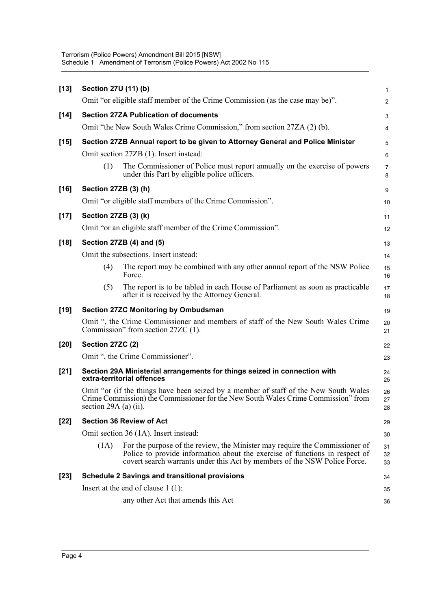| $[13]$ | Section 27U (11) (b)  |                                                                                                                                                                                                                                         | $\mathbf{1}$        |
|--------|-----------------------|-----------------------------------------------------------------------------------------------------------------------------------------------------------------------------------------------------------------------------------------|---------------------|
|        |                       | Omit "or eligible staff member of the Crime Commission (as the case may be)".                                                                                                                                                           | $\overline{2}$      |
| $[14]$ |                       | <b>Section 27ZA Publication of documents</b>                                                                                                                                                                                            | 3                   |
|        |                       | Omit "the New South Wales Crime Commission," from section 27ZA (2) (b).                                                                                                                                                                 | 4                   |
| $[15]$ |                       | Section 27ZB Annual report to be given to Attorney General and Police Minister                                                                                                                                                          | 5                   |
|        |                       | Omit section 27ZB (1). Insert instead:                                                                                                                                                                                                  | 6                   |
|        | (1)                   | The Commissioner of Police must report annually on the exercise of powers<br>under this Part by eligible police officers.                                                                                                               | $\overline{7}$<br>8 |
| $[16]$ | Section 27ZB (3) (h)  |                                                                                                                                                                                                                                         | 9                   |
|        |                       | Omit "or eligible staff members of the Crime Commission".                                                                                                                                                                               | 10                  |
| $[17]$ | Section 27ZB (3) (k)  |                                                                                                                                                                                                                                         | 11                  |
|        |                       | Omit "or an eligible staff member of the Crime Commission".                                                                                                                                                                             | 12                  |
| $[18]$ |                       | Section 27ZB (4) and (5)                                                                                                                                                                                                                | 13                  |
|        |                       | Omit the subsections. Insert instead:                                                                                                                                                                                                   | 14                  |
|        | (4)                   | The report may be combined with any other annual report of the NSW Police<br>Force.                                                                                                                                                     | 15<br>16            |
|        | (5)                   | The report is to be tabled in each House of Parliament as soon as practicable<br>after it is received by the Attorney General.                                                                                                          | 17<br>18            |
| $[19]$ |                       | <b>Section 27ZC Monitoring by Ombudsman</b>                                                                                                                                                                                             | 19                  |
|        |                       | Omit ", the Crime Commissioner and members of staff of the New South Wales Crime<br>Commission" from section 27ZC (1).                                                                                                                  | 20<br>21            |
| $[20]$ | Section 27ZC (2)      |                                                                                                                                                                                                                                         | 22                  |
|        |                       | Omit ", the Crime Commissioner".                                                                                                                                                                                                        | 23                  |
| $[21]$ |                       | Section 29A Ministerial arrangements for things seized in connection with<br>extra-territorial offences                                                                                                                                 | 24<br>25            |
|        | section 29A (a) (ii). | Omit "or (if the things have been seized by a member of staff of the New South Wales<br>Crime Commission) the Commissioner for the New South Wales Crime Commission" from                                                               | 26<br>27<br>28      |
| $[22]$ |                       | <b>Section 36 Review of Act</b>                                                                                                                                                                                                         | 29                  |
|        |                       | Omit section 36 (1A). Insert instead:                                                                                                                                                                                                   | 30                  |
|        | (1A)                  | For the purpose of the review, the Minister may require the Commissioner of<br>Police to provide information about the exercise of functions in respect of<br>covert search warrants under this Act by members of the NSW Police Force. | 31<br>32<br>33      |
| $[23]$ |                       | <b>Schedule 2 Savings and transitional provisions</b>                                                                                                                                                                                   | 34                  |
|        |                       | Insert at the end of clause $1(1)$ :                                                                                                                                                                                                    | 35                  |
|        |                       | any other Act that amends this Act                                                                                                                                                                                                      | 36                  |
|        |                       |                                                                                                                                                                                                                                         |                     |